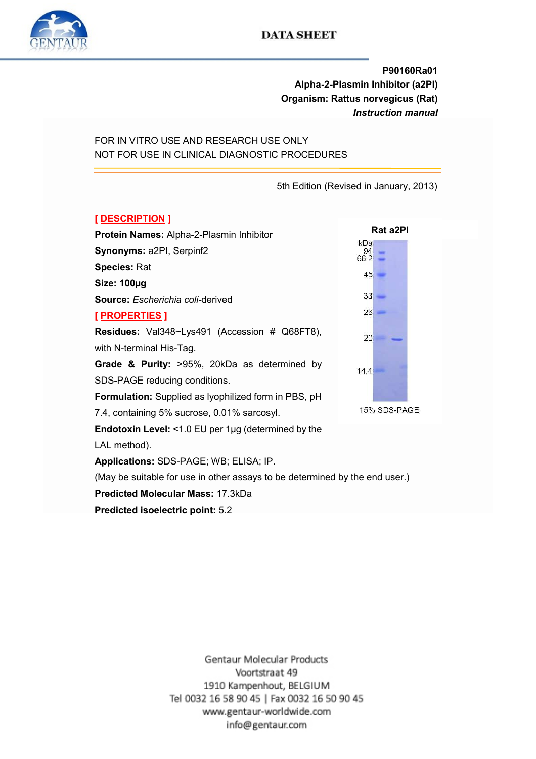

# P90160Ra01 Alpha-2-Plasmin Inhibitor (a2PI) Organism: Rattus norvegicus (Rat) Instruction manual

FOR IN VITRO USE AND RESEARCH USE ONLY NOT FOR USE IN CLINICAL DIAGNOSTIC PROCEDURES

5th Edition (Revised in January, 2013)

## [ DESCRIPTION ]

|                                                                             |              | Rat a2PI |  |
|-----------------------------------------------------------------------------|--------------|----------|--|
| Protein Names: Alpha-2-Plasmin Inhibitor                                    | kDa          |          |  |
| Synonyms: a2PI, Serpinf2                                                    | 94<br>66.2   |          |  |
| <b>Species: Rat</b>                                                         | 45           |          |  |
| Size: 100µg                                                                 |              |          |  |
| Source: Escherichia coli-derived                                            | 33           |          |  |
| <u>[ PROPERTIES</u> ]                                                       | 26           |          |  |
| <b>Residues:</b> Val348~Lys491 (Accession # Q68FT8),                        | 20           |          |  |
| with N-terminal His-Tag.                                                    |              |          |  |
| Grade & Purity: >95%, 20kDa as determined by                                | 14.4         |          |  |
| SDS-PAGE reducing conditions.                                               |              |          |  |
| <b>Formulation:</b> Supplied as Iyophilized form in PBS, pH                 |              |          |  |
| 7.4, containing 5% sucrose, 0.01% sarcosyl.                                 | 15% SDS-PAGE |          |  |
| <b>Endotoxin Level:</b> <1.0 EU per $1\mu$ g (determined by the             |              |          |  |
| LAL method).                                                                |              |          |  |
| Applications: SDS-PAGE; WB; ELISA; IP.                                      |              |          |  |
| (May be suitable for use in other assays to be determined by the end user.) |              |          |  |
|                                                                             |              |          |  |

Predicted Molecular Mass: 17.3kDa

Predicted isoelectric point: 5.2

Gentaur Molecular Products Voortstraat 49 1910 Kampenhout, BELGIUM Tel 0032 16 58 90 45 | Fax 0032 16 50 90 45 www.gentaur-worldwide.com info@gentaur.com